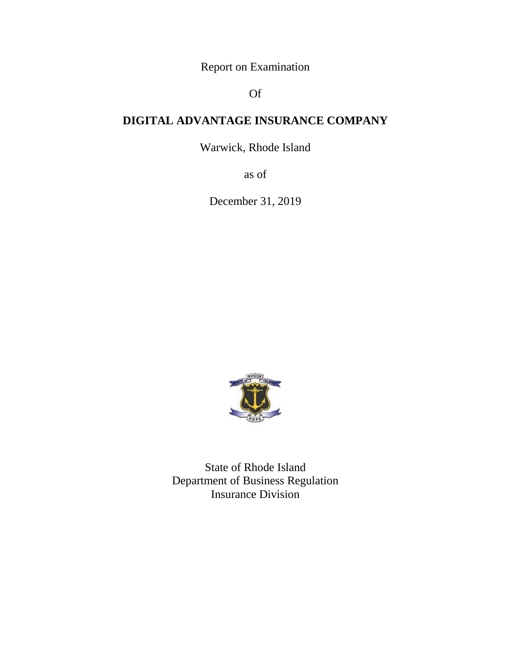Report on Examination

# Of

# **DIGITAL ADVANTAGE INSURANCE COMPANY**

Warwick, Rhode Island

as of

December 31, 2019



State of Rhode Island Department of Business Regulation Insurance Division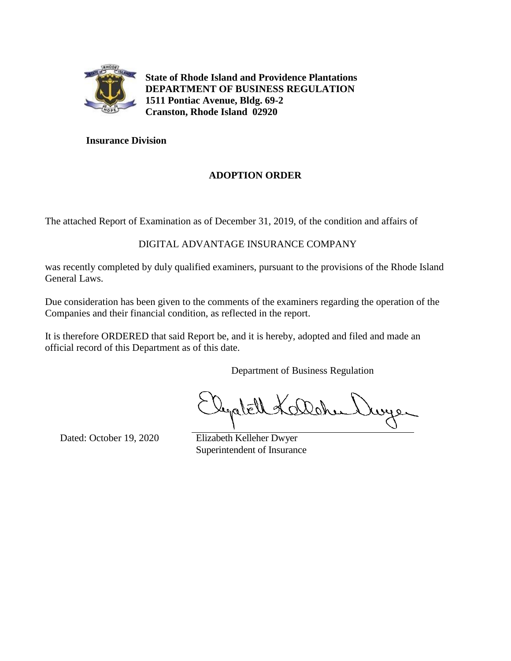

**State of Rhode Island and Providence Plantations DEPARTMENT OF BUSINESS REGULATION 1511 Pontiac Avenue, Bldg. 69-2 Cranston, Rhode Island 02920**

# **Insurance Division**

# **ADOPTION ORDER**

The attached Report of Examination as of December 31, 2019, of the condition and affairs of

# DIGITAL ADVANTAGE INSURANCE COMPANY

was recently completed by duly qualified examiners, pursuant to the provisions of the Rhode Island General Laws.

Due consideration has been given to the comments of the examiners regarding the operation of the Companies and their financial condition, as reflected in the report.

It is therefore ORDERED that said Report be, and it is hereby, adopted and filed and made an official record of this Department as of this date.

Department of Business Regulation

دو بىو

Dated: October 19, 2020 Elizabeth Kelleher Dwyer

Superintendent of Insurance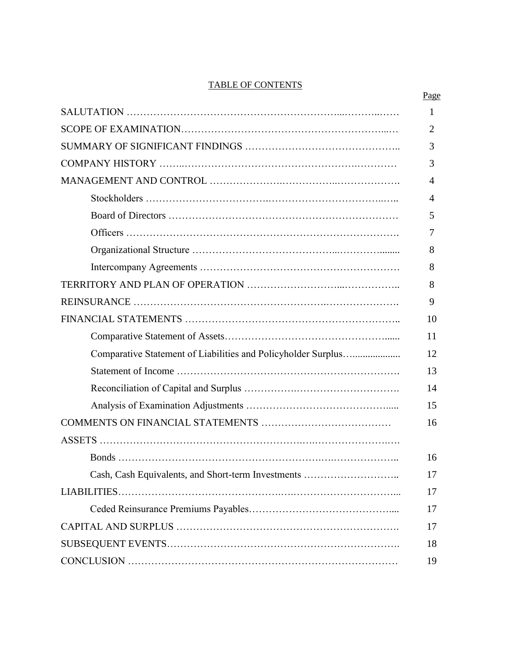## TABLE OF CONTENTS

|                                                               | 1              |
|---------------------------------------------------------------|----------------|
|                                                               | 2              |
|                                                               | 3              |
|                                                               | 3              |
|                                                               | $\overline{4}$ |
|                                                               | $\overline{A}$ |
|                                                               | 5              |
|                                                               | 7              |
|                                                               | 8              |
|                                                               | 8              |
|                                                               | 8              |
|                                                               | 9              |
|                                                               | 10             |
|                                                               | 11             |
| Comparative Statement of Liabilities and Policyholder Surplus | 12             |
|                                                               | 13             |
|                                                               | 14             |
|                                                               | 15             |
|                                                               | 16             |
|                                                               |                |
|                                                               | 16             |
| Cash, Cash Equivalents, and Short-term Investments            | 17             |
|                                                               | 17             |
|                                                               | 17             |
|                                                               | 17             |
|                                                               | 18             |
|                                                               | 19             |
|                                                               |                |

# Page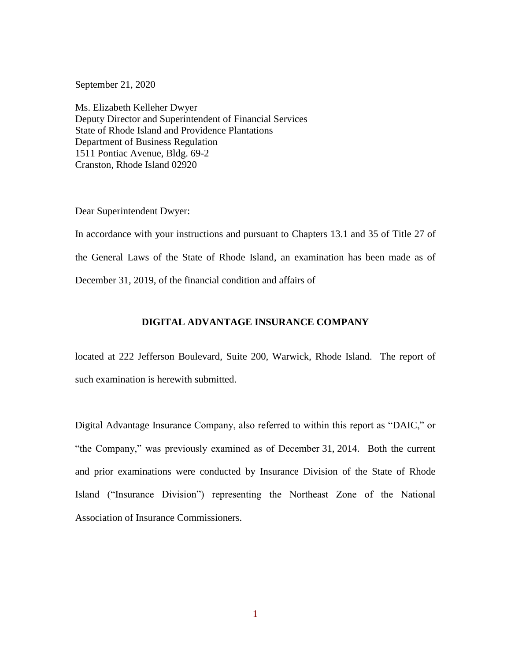September 21, 2020

Ms. Elizabeth Kelleher Dwyer Deputy Director and Superintendent of Financial Services State of Rhode Island and Providence Plantations Department of Business Regulation 1511 Pontiac Avenue, Bldg. 69-2 Cranston, Rhode Island 02920

Dear Superintendent Dwyer:

In accordance with your instructions and pursuant to Chapters 13.1 and 35 of Title 27 of the General Laws of the State of Rhode Island, an examination has been made as of December 31, 2019, of the financial condition and affairs of

## **DIGITAL ADVANTAGE INSURANCE COMPANY**

located at 222 Jefferson Boulevard, Suite 200, Warwick, Rhode Island. The report of such examination is herewith submitted.

Digital Advantage Insurance Company, also referred to within this report as "DAIC," or "the Company," was previously examined as of December 31, 2014. Both the current and prior examinations were conducted by Insurance Division of the State of Rhode Island ("Insurance Division") representing the Northeast Zone of the National Association of Insurance Commissioners.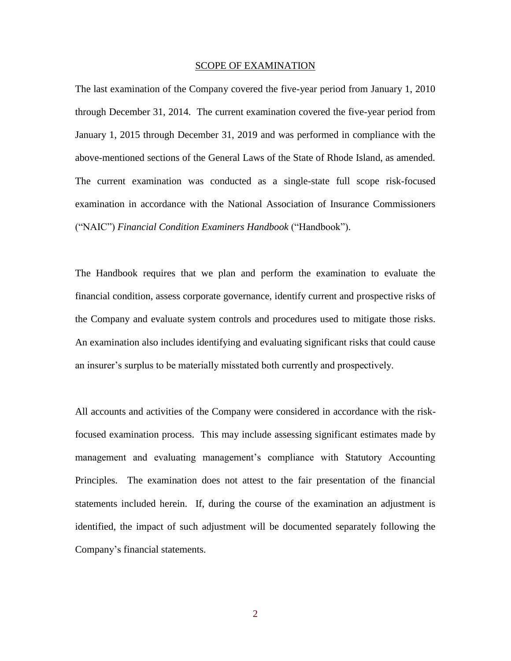### SCOPE OF EXAMINATION

The last examination of the Company covered the five-year period from January 1, 2010 through December 31, 2014. The current examination covered the five-year period from January 1, 2015 through December 31, 2019 and was performed in compliance with the above-mentioned sections of the General Laws of the State of Rhode Island, as amended. The current examination was conducted as a single-state full scope risk-focused examination in accordance with the National Association of Insurance Commissioners ("NAIC") *Financial Condition Examiners Handbook* ("Handbook").

The Handbook requires that we plan and perform the examination to evaluate the financial condition, assess corporate governance, identify current and prospective risks of the Company and evaluate system controls and procedures used to mitigate those risks. An examination also includes identifying and evaluating significant risks that could cause an insurer's surplus to be materially misstated both currently and prospectively.

All accounts and activities of the Company were considered in accordance with the riskfocused examination process. This may include assessing significant estimates made by management and evaluating management's compliance with Statutory Accounting Principles. The examination does not attest to the fair presentation of the financial statements included herein. If, during the course of the examination an adjustment is identified, the impact of such adjustment will be documented separately following the Company's financial statements.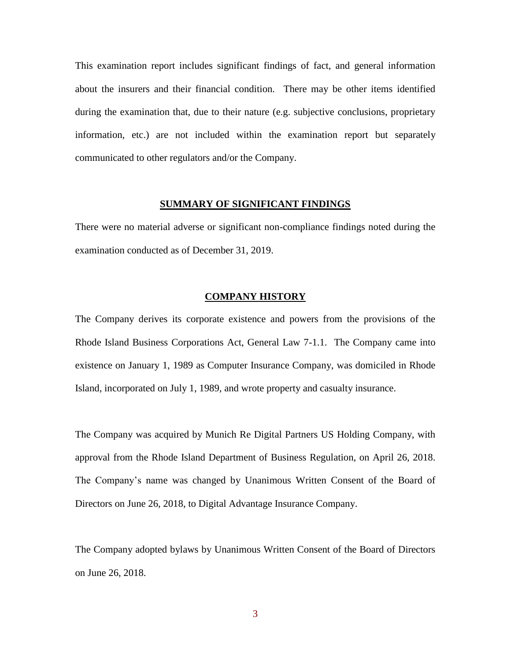This examination report includes significant findings of fact, and general information about the insurers and their financial condition. There may be other items identified during the examination that, due to their nature (e.g. subjective conclusions, proprietary information, etc.) are not included within the examination report but separately communicated to other regulators and/or the Company.

## **SUMMARY OF SIGNIFICANT FINDINGS**

There were no material adverse or significant non-compliance findings noted during the examination conducted as of December 31, 2019.

## **COMPANY HISTORY**

The Company derives its corporate existence and powers from the provisions of the Rhode Island Business Corporations Act, General Law 7-1.1. The Company came into existence on January 1, 1989 as Computer Insurance Company, was domiciled in Rhode Island, incorporated on July 1, 1989, and wrote property and casualty insurance.

The Company was acquired by Munich Re Digital Partners US Holding Company, with approval from the Rhode Island Department of Business Regulation, on April 26, 2018. The Company's name was changed by Unanimous Written Consent of the Board of Directors on June 26, 2018, to Digital Advantage Insurance Company.

The Company adopted bylaws by Unanimous Written Consent of the Board of Directors on June 26, 2018.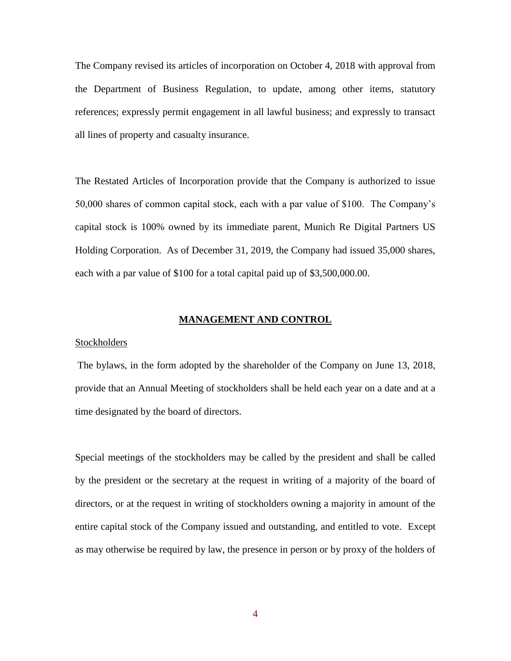The Company revised its articles of incorporation on October 4, 2018 with approval from the Department of Business Regulation, to update, among other items, statutory references; expressly permit engagement in all lawful business; and expressly to transact all lines of property and casualty insurance.

The Restated Articles of Incorporation provide that the Company is authorized to issue 50,000 shares of common capital stock, each with a par value of \$100. The Company's capital stock is 100% owned by its immediate parent, Munich Re Digital Partners US Holding Corporation. As of December 31, 2019, the Company had issued 35,000 shares, each with a par value of \$100 for a total capital paid up of \$3,500,000.00.

## **MANAGEMENT AND CONTROL**

## **Stockholders**

The bylaws, in the form adopted by the shareholder of the Company on June 13, 2018, provide that an Annual Meeting of stockholders shall be held each year on a date and at a time designated by the board of directors.

Special meetings of the stockholders may be called by the president and shall be called by the president or the secretary at the request in writing of a majority of the board of directors, or at the request in writing of stockholders owning a majority in amount of the entire capital stock of the Company issued and outstanding, and entitled to vote. Except as may otherwise be required by law, the presence in person or by proxy of the holders of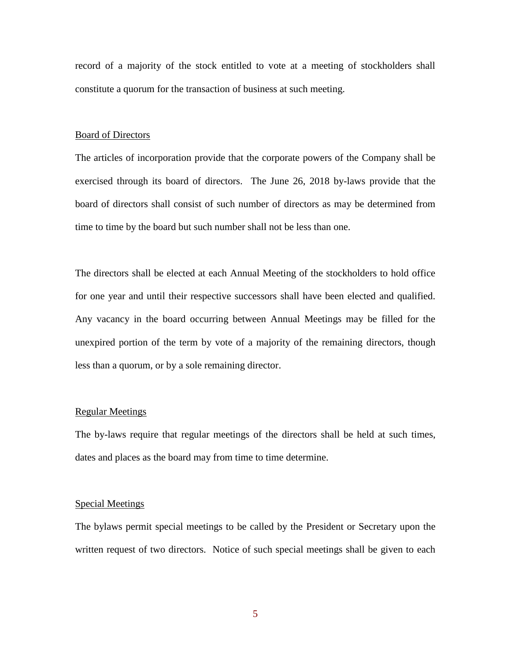record of a majority of the stock entitled to vote at a meeting of stockholders shall constitute a quorum for the transaction of business at such meeting.

## Board of Directors

The articles of incorporation provide that the corporate powers of the Company shall be exercised through its board of directors. The June 26, 2018 by-laws provide that the board of directors shall consist of such number of directors as may be determined from time to time by the board but such number shall not be less than one.

The directors shall be elected at each Annual Meeting of the stockholders to hold office for one year and until their respective successors shall have been elected and qualified. Any vacancy in the board occurring between Annual Meetings may be filled for the unexpired portion of the term by vote of a majority of the remaining directors, though less than a quorum, or by a sole remaining director.

## Regular Meetings

The by-laws require that regular meetings of the directors shall be held at such times, dates and places as the board may from time to time determine.

### Special Meetings

The bylaws permit special meetings to be called by the President or Secretary upon the written request of two directors. Notice of such special meetings shall be given to each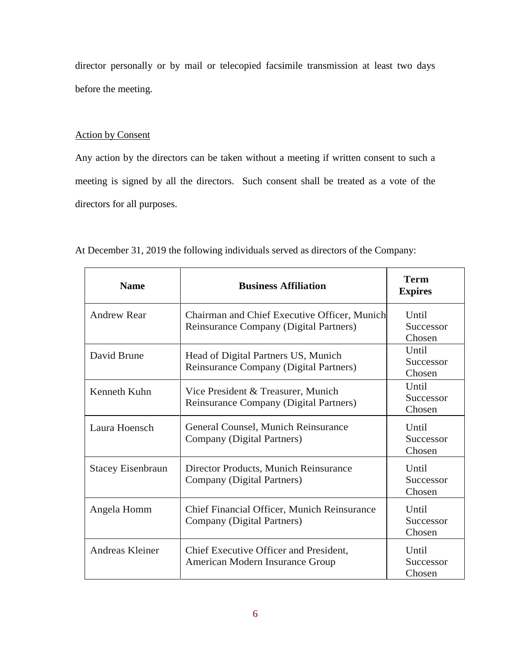director personally or by mail or telecopied facsimile transmission at least two days before the meeting.

# Action by Consent

Any action by the directors can be taken without a meeting if written consent to such a meeting is signed by all the directors. Such consent shall be treated as a vote of the directors for all purposes.

| <b>Name</b>              | <b>Business Affiliation</b>                                                            | <b>Term</b><br><b>Expires</b> |
|--------------------------|----------------------------------------------------------------------------------------|-------------------------------|
| <b>Andrew Rear</b>       | Chairman and Chief Executive Officer, Munich<br>Reinsurance Company (Digital Partners) | Until<br>Successor<br>Chosen  |
| David Brune              | Head of Digital Partners US, Munich<br>Reinsurance Company (Digital Partners)          | Until<br>Successor<br>Chosen  |
| Kenneth Kuhn             | Vice President & Treasurer, Munich<br>Reinsurance Company (Digital Partners)           | Until<br>Successor<br>Chosen  |
| Laura Hoensch            | General Counsel, Munich Reinsurance<br>Company (Digital Partners)                      | Until<br>Successor<br>Chosen  |
| <b>Stacey Eisenbraun</b> | Director Products, Munich Reinsurance<br>Company (Digital Partners)                    | Until<br>Successor<br>Chosen  |
| Angela Homm              | Chief Financial Officer, Munich Reinsurance<br>Company (Digital Partners)              | Until<br>Successor<br>Chosen  |
| Andreas Kleiner          | Chief Executive Officer and President,<br>American Modern Insurance Group              | Until<br>Successor<br>Chosen  |

At December 31, 2019 the following individuals served as directors of the Company: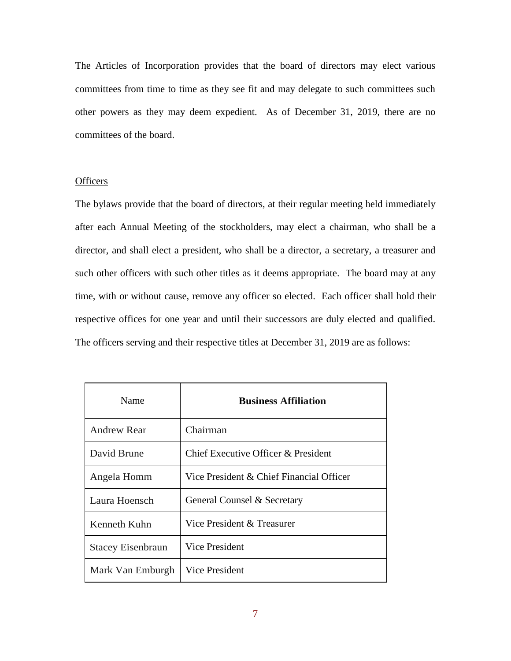The Articles of Incorporation provides that the board of directors may elect various committees from time to time as they see fit and may delegate to such committees such other powers as they may deem expedient. As of December 31, 2019, there are no committees of the board.

## **Officers**

The bylaws provide that the board of directors, at their regular meeting held immediately after each Annual Meeting of the stockholders, may elect a chairman, who shall be a director, and shall elect a president, who shall be a director, a secretary, a treasurer and such other officers with such other titles as it deems appropriate. The board may at any time, with or without cause, remove any officer so elected. Each officer shall hold their respective offices for one year and until their successors are duly elected and qualified. The officers serving and their respective titles at December 31, 2019 are as follows:

| Name                     | <b>Business Affiliation</b>              |
|--------------------------|------------------------------------------|
| <b>Andrew Rear</b>       | Chairman                                 |
| David Brune              | Chief Executive Officer & President      |
| Angela Homm              | Vice President & Chief Financial Officer |
| Laura Hoensch            | General Counsel & Secretary              |
| Kenneth Kuhn             | Vice President & Treasurer               |
| <b>Stacey Eisenbraun</b> | Vice President                           |
| Mark Van Emburgh         | Vice President                           |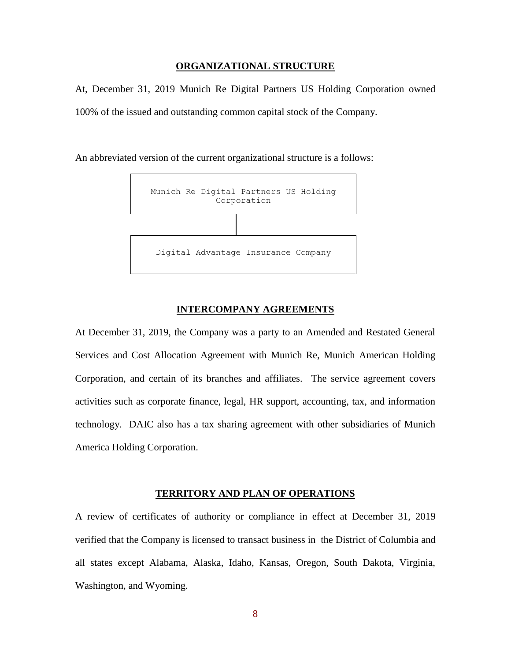## **ORGANIZATIONAL STRUCTURE**

At, December 31, 2019 Munich Re Digital Partners US Holding Corporation owned 100% of the issued and outstanding common capital stock of the Company.

An abbreviated version of the current organizational structure is a follows:



## **INTERCOMPANY AGREEMENTS**

At December 31, 2019, the Company was a party to an Amended and Restated General Services and Cost Allocation Agreement with Munich Re, Munich American Holding Corporation, and certain of its branches and affiliates. The service agreement covers activities such as corporate finance, legal, HR support, accounting, tax, and information technology. DAIC also has a tax sharing agreement with other subsidiaries of Munich America Holding Corporation.

### **TERRITORY AND PLAN OF OPERATIONS**

A review of certificates of authority or compliance in effect at December 31, 2019 verified that the Company is licensed to transact business in the District of Columbia and all states except Alabama, Alaska, Idaho, Kansas, Oregon, South Dakota, Virginia, Washington, and Wyoming.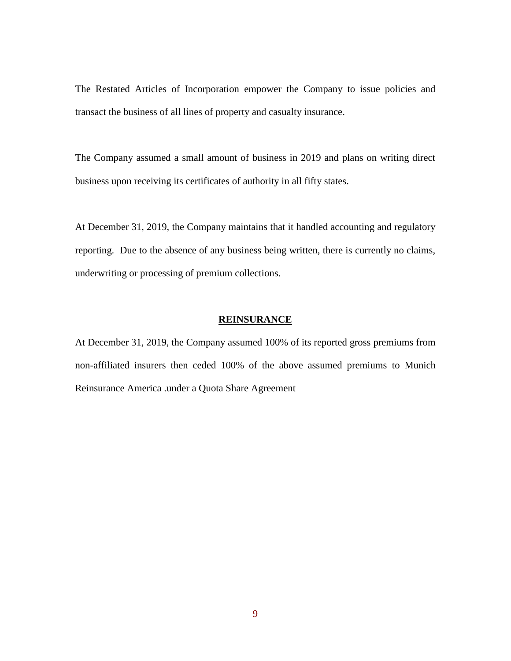The Restated Articles of Incorporation empower the Company to issue policies and transact the business of all lines of property and casualty insurance.

The Company assumed a small amount of business in 2019 and plans on writing direct business upon receiving its certificates of authority in all fifty states.

At December 31, 2019, the Company maintains that it handled accounting and regulatory reporting. Due to the absence of any business being written, there is currently no claims, underwriting or processing of premium collections.

## **REINSURANCE**

At December 31, 2019, the Company assumed 100% of its reported gross premiums from non-affiliated insurers then ceded 100% of the above assumed premiums to Munich Reinsurance America .under a Quota Share Agreement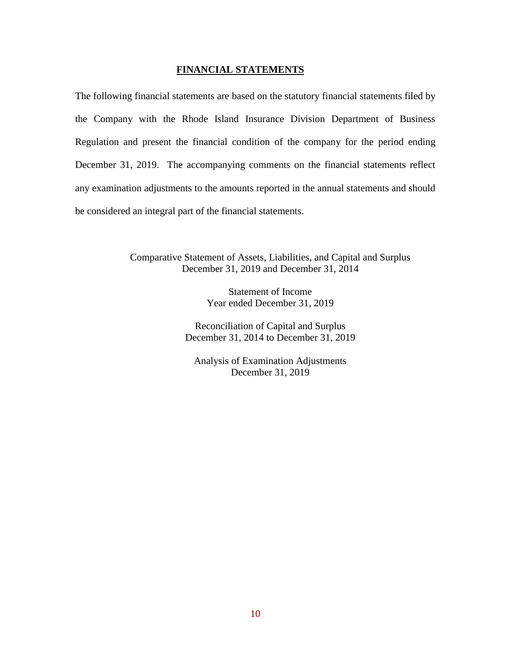## **FINANCIAL STATEMENTS**

The following financial statements are based on the statutory financial statements filed by the Company with the Rhode Island Insurance Division Department of Business Regulation and present the financial condition of the company for the period ending December 31, 2019. The accompanying comments on the financial statements reflect any examination adjustments to the amounts reported in the annual statements and should be considered an integral part of the financial statements.

> Comparative Statement of Assets, Liabilities, and Capital and Surplus December 31, 2019 and December 31, 2014

> > Statement of Income Year ended December 31, 2019

Reconciliation of Capital and Surplus December 31, 2014 to December 31, 2019

Analysis of Examination Adjustments December 31, 2019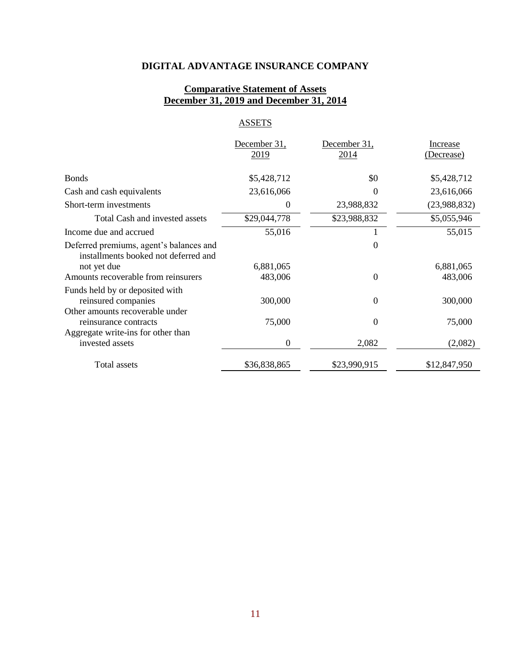# **DIGITAL ADVANTAGE INSURANCE COMPANY**

## **Comparative Statement of Assets December 31, 2019 and December 31, 2014**

# **ASSETS**

|                                                                                 | December 31, | December 31, | <b>Increase</b> |
|---------------------------------------------------------------------------------|--------------|--------------|-----------------|
|                                                                                 | 2019         | <u>2014</u>  | (Decrease)      |
| <b>Bonds</b>                                                                    | \$5,428,712  | \$0          | \$5,428,712     |
| Cash and cash equivalents                                                       | 23,616,066   | $\Omega$     | 23,616,066      |
| Short-term investments                                                          | 0            | 23,988,832   | (23,988,832)    |
| Total Cash and invested assets                                                  | \$29,044,778 | \$23,988,832 | \$5,055,946     |
| Income due and accrued                                                          | 55,016       |              | 55,015          |
| Deferred premiums, agent's balances and<br>installments booked not deferred and |              | $\Omega$     |                 |
| not yet due                                                                     | 6,881,065    |              | 6,881,065       |
| Amounts recoverable from reinsurers                                             | 483,006      | $\Omega$     | 483,006         |
| Funds held by or deposited with                                                 |              |              |                 |
| reinsured companies                                                             | 300,000      | $\Omega$     | 300,000         |
| Other amounts recoverable under                                                 |              |              |                 |
| reinsurance contracts                                                           | 75,000       | $\Omega$     | 75,000          |
| Aggregate write-ins for other than                                              |              |              |                 |
| invested assets                                                                 | 0            | 2,082        | (2,082)         |
| Total assets                                                                    | \$36,838,865 | \$23,990,915 | \$12,847,950    |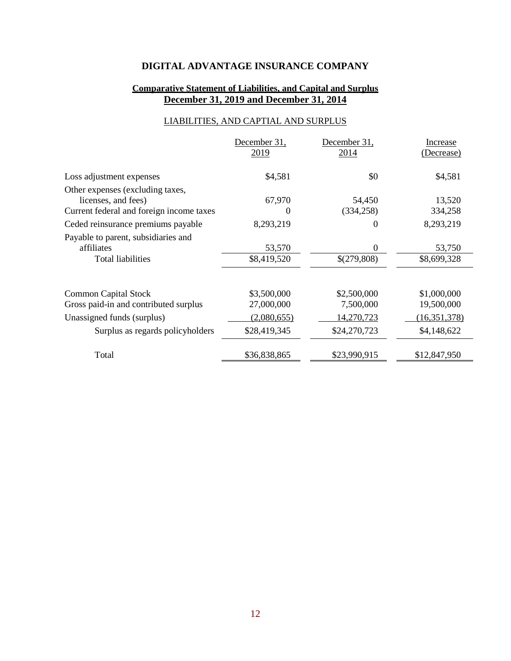# **DIGITAL ADVANTAGE INSURANCE COMPANY**

# **Comparative Statement of Liabilities, and Capital and Surplus December 31, 2019 and December 31, 2014**

# LIABILITIES, AND CAPTIAL AND SURPLUS

|                                          | December 31, | December 31, | Increase       |
|------------------------------------------|--------------|--------------|----------------|
|                                          | 2019         | 2014         | (Decrease)     |
| Loss adjustment expenses                 | \$4,581      | \$0          | \$4,581        |
| Other expenses (excluding taxes,         |              |              |                |
| licenses, and fees)                      | 67,970       | 54,450       | 13,520         |
| Current federal and foreign income taxes | $\theta$     | (334, 258)   | 334,258        |
| Ceded reinsurance premiums payable       | 8,293,219    | $\theta$     | 8,293,219      |
| Payable to parent, subsidiaries and      |              |              |                |
| affiliates                               | 53,570       | $\Omega$     | 53,750         |
| <b>Total liabilities</b>                 | \$8,419,520  | \$(279,808)  | \$8,699,328    |
|                                          |              |              |                |
| <b>Common Capital Stock</b>              | \$3,500,000  | \$2,500,000  | \$1,000,000    |
| Gross paid-in and contributed surplus    | 27,000,000   | 7,500,000    | 19,500,000     |
| Unassigned funds (surplus)               | (2,080,655)  | 14,270,723   | (16, 351, 378) |
| Surplus as regards policyholders         | \$28,419,345 | \$24,270,723 | \$4,148,622    |
| Total                                    | \$36,838,865 | \$23,990,915 | \$12,847,950   |
|                                          |              |              |                |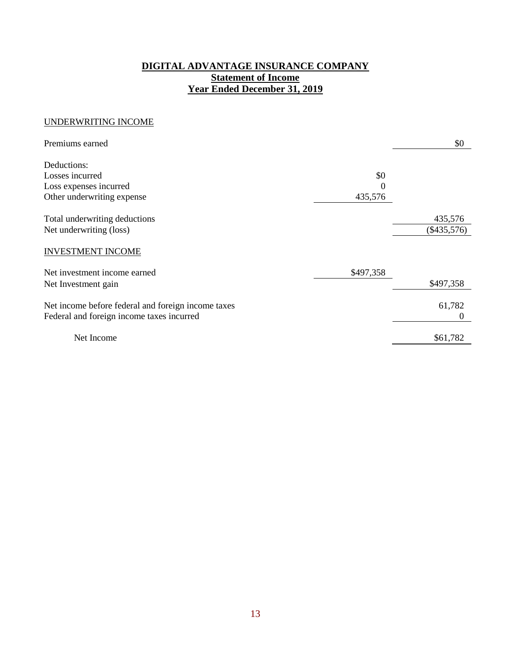# **DIGITAL ADVANTAGE INSURANCE COMPANY Statement of Income Year Ended December 31, 2019**

## UNDERWRITING INCOME

| Premiums earned                                    |           | \$0           |
|----------------------------------------------------|-----------|---------------|
| Deductions:                                        |           |               |
| Losses incurred                                    | \$0       |               |
| Loss expenses incurred                             | $\left($  |               |
| Other underwriting expense                         | 435,576   |               |
| Total underwriting deductions                      |           | 435,576       |
| Net underwriting (loss)                            |           | $(\$435,576)$ |
| <b>INVESTMENT INCOME</b>                           |           |               |
| Net investment income earned                       | \$497,358 |               |
| Net Investment gain                                |           | \$497,358     |
| Net income before federal and foreign income taxes |           | 61,782        |
| Federal and foreign income taxes incurred          |           | 0             |
| Net Income                                         |           | \$61,782      |
|                                                    |           |               |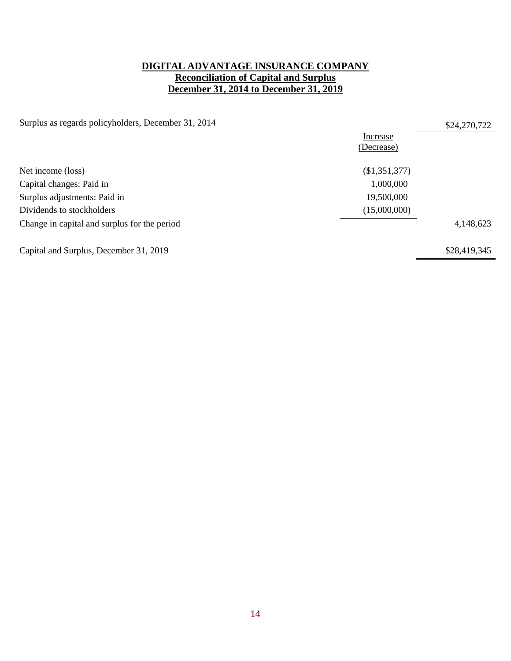# **DIGITAL ADVANTAGE INSURANCE COMPANY Reconciliation of Capital and Surplus December 31, 2014 to December 31, 2019**

Surplus as regards policyholders, December 31, 2014 \$24,270,722

|                                              | Increase      |              |
|----------------------------------------------|---------------|--------------|
|                                              | (Decrease)    |              |
|                                              |               |              |
| Net income (loss)                            | (\$1,351,377) |              |
| Capital changes: Paid in                     | 1,000,000     |              |
| Surplus adjustments: Paid in                 | 19,500,000    |              |
| Dividends to stockholders                    | (15,000,000)  |              |
| Change in capital and surplus for the period |               | 4,148,623    |
| Capital and Surplus, December 31, 2019       |               | \$28,419,345 |
|                                              |               |              |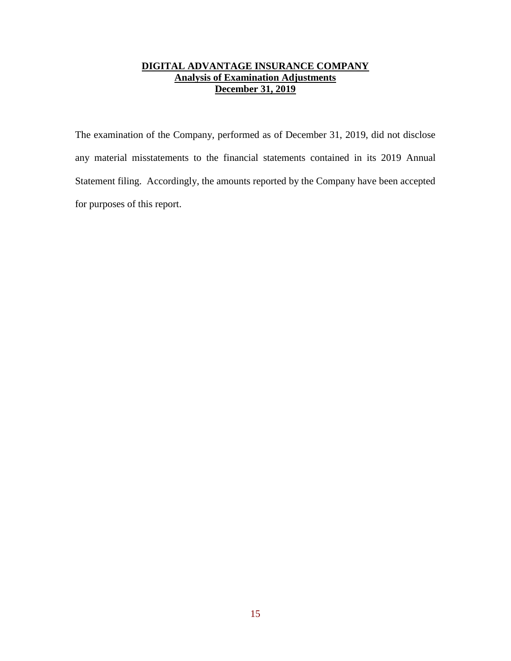# **DIGITAL ADVANTAGE INSURANCE COMPANY Analysis of Examination Adjustments December 31, 2019**

The examination of the Company, performed as of December 31, 2019, did not disclose any material misstatements to the financial statements contained in its 2019 Annual Statement filing. Accordingly, the amounts reported by the Company have been accepted for purposes of this report.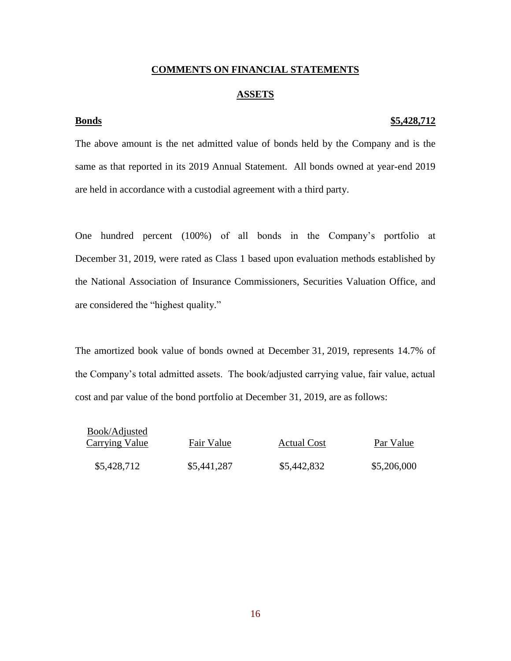## **COMMENTS ON FINANCIAL STATEMENTS**

## **ASSETS**

## **Bonds \$5,428,712**

The above amount is the net admitted value of bonds held by the Company and is the same as that reported in its 2019 Annual Statement. All bonds owned at year-end 2019 are held in accordance with a custodial agreement with a third party.

One hundred percent (100%) of all bonds in the Company's portfolio at December 31, 2019, were rated as Class 1 based upon evaluation methods established by the National Association of Insurance Commissioners, Securities Valuation Office, and are considered the "highest quality."

The amortized book value of bonds owned at December 31, 2019, represents 14.7% of the Company's total admitted assets. The book/adjusted carrying value, fair value, actual cost and par value of the bond portfolio at December 31, 2019, are as follows:

| Book/Adjusted<br><b>Carrying Value</b> | Fair Value  | <b>Actual Cost</b> | Par Value   |
|----------------------------------------|-------------|--------------------|-------------|
| \$5,428,712                            | \$5,441,287 | \$5,442,832        | \$5,206,000 |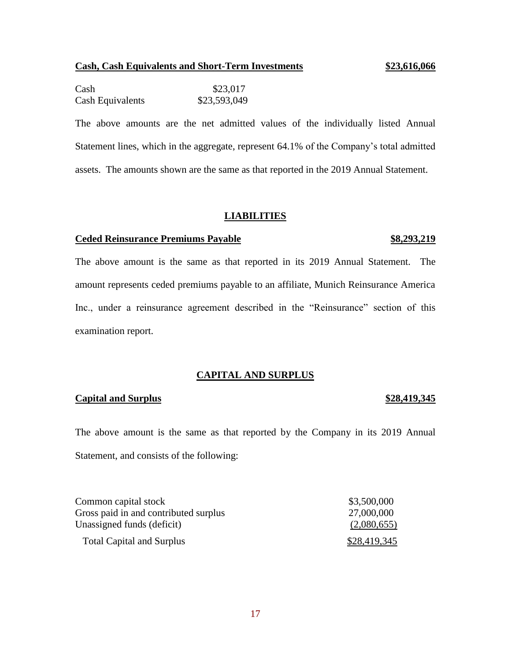# **Cash, Cash Equivalents and Short-Term Investments \$23,616,066**

Cash \$23,017 Cash Equivalents \$23,593,049

The above amounts are the net admitted values of the individually listed Annual Statement lines, which in the aggregate, represent 64.1% of the Company's total admitted assets. The amounts shown are the same as that reported in the 2019 Annual Statement.

## **LIABILITIES**

## **Ceded Reinsurance Premiums Payable \$8,293,219**

The above amount is the same as that reported in its 2019 Annual Statement. The amount represents ceded premiums payable to an affiliate, Munich Reinsurance America Inc., under a reinsurance agreement described in the "Reinsurance" section of this examination report.

## **CAPITAL AND SURPLUS**

## **Capital and Surplus \$28,419,345**

The above amount is the same as that reported by the Company in its 2019 Annual Statement, and consists of the following:

| Common capital stock                  | \$3,500,000  |
|---------------------------------------|--------------|
| Gross paid in and contributed surplus | 27,000,000   |
| Unassigned funds (deficit)            | (2,080,655)  |
| <b>Total Capital and Surplus</b>      | \$28,419,345 |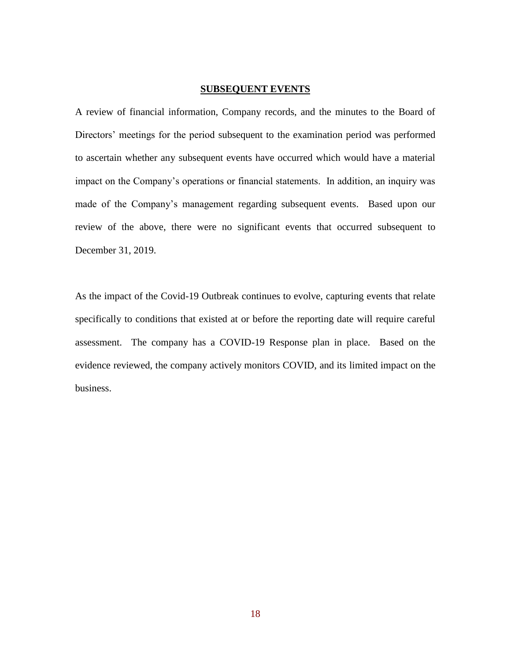## **SUBSEQUENT EVENTS**

A review of financial information, Company records, and the minutes to the Board of Directors' meetings for the period subsequent to the examination period was performed to ascertain whether any subsequent events have occurred which would have a material impact on the Company's operations or financial statements. In addition, an inquiry was made of the Company's management regarding subsequent events. Based upon our review of the above, there were no significant events that occurred subsequent to December 31, 2019.

As the impact of the Covid-19 Outbreak continues to evolve, capturing events that relate specifically to conditions that existed at or before the reporting date will require careful assessment. The company has a COVID-19 Response plan in place. Based on the evidence reviewed, the company actively monitors COVID, and its limited impact on the business.